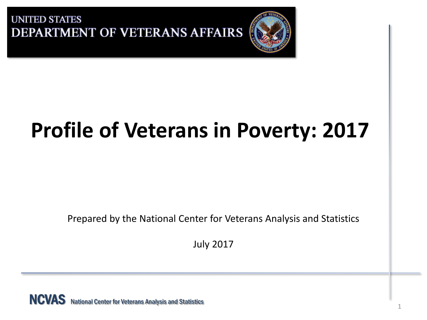

# **Profile of Veterans in Poverty: 2017**

Prepared by the National Center for Veterans Analysis and Statistics

July 2017

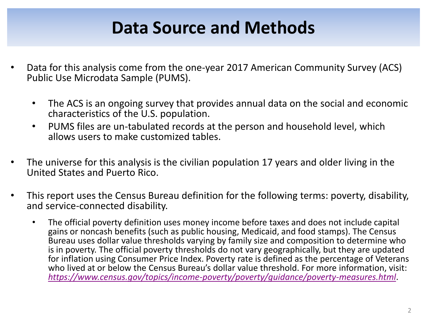## **Data Source and Methods**

- Data for this analysis come from the one-year 2017 American Community Survey (ACS) Public Use Microdata Sample (PUMS).
	- The ACS is an ongoing survey that provides annual data on the social and economic characteristics of the U.S. population.
	- PUMS files are un-tabulated records at the person and household level, which allows users to make customized tables.
- The universe for this analysis is the civilian population 17 years and older living in the United States and Puerto Rico.
- This report uses the Census Bureau definition for the following terms: poverty, disability, and service-connected disability.
	- The official poverty definition uses money income before taxes and does not include capital gains or noncash benefits (such as public housing, Medicaid, and food stamps). The Census Bureau uses dollar value thresholds varying by family size and composition to determine who is in poverty. The official poverty thresholds do not vary geographically, but they are updated for inflation using Consumer Price Index. Poverty rate is defined as the percentage of Veterans who lived at or below the Census Bureau's dollar value threshold. For more information, visit: *<https://www.census.gov/topics/income-poverty/poverty/guidance/poverty-measures.html>*.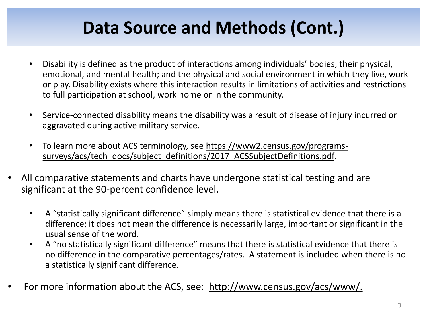## **Data Source and Methods (Cont.)**

- Disability is defined as the product of interactions among individuals' bodies; their physical, emotional, and mental health; and the physical and social environment in which they live, work or play. Disability exists where this interaction results in limitations of activities and restrictions to full participation at school, work home or in the community.
- Service-connected disability means the disability was a result of disease of injury incurred or aggravated during active military service.
- [To learn more about ACS terminology, see https://www2.census.gov/programs](https://www2.census.gov/programs-surveys/acs/tech_docs/subject_definitions/2017_ACSSubjectDefinitions.pdf)surveys/acs/tech\_docs/subject\_definitions/2017\_ACSSubjectDefinitions.pdf.
- All comparative statements and charts have undergone statistical testing and are significant at the 90-percent confidence level.
	- A "statistically significant difference" simply means there is statistical evidence that there is a difference; it does not mean the difference is necessarily large, important or significant in the usual sense of the word.
	- A "no statistically significant difference" means that there is statistical evidence that there is no difference in the comparative percentages/rates. A statement is included when there is no a statistically significant difference.
- For more information about the ACS, see: [http://www.census.gov/acs/www/.](http://www.census.gov/acs/www/)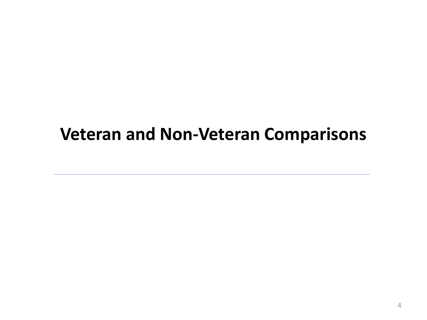## **Veteran and Non-Veteran Comparisons**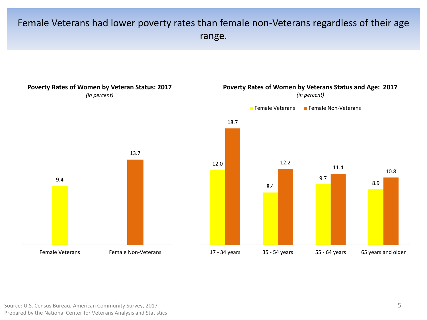### Female Veterans had lower poverty rates than female non-Veterans regardless of their age range.

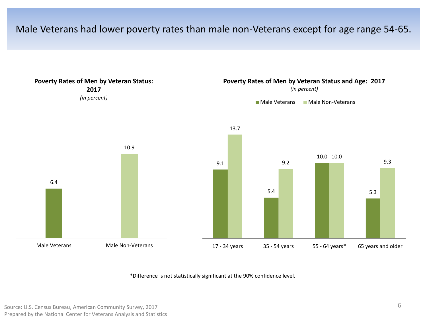#### Male Veterans had lower poverty rates than male non-Veterans except for age range 54-65.

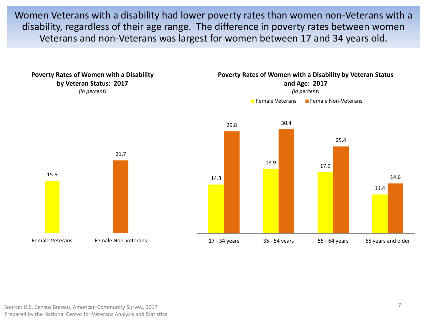Women Veterans with a disability had lower poverty rates than women non-Veterans with a disability, regardless of their age range. The difference in poverty rates between women Veterans and non-Veterans was largest for women between 17 and 34 years old.

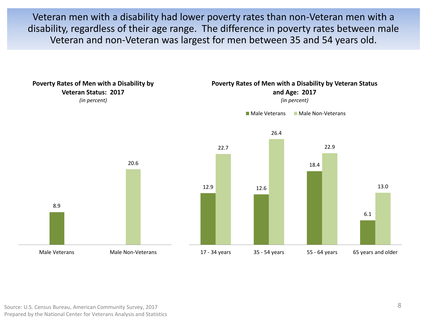Veteran men with a disability had lower poverty rates than non-Veteran men with a disability, regardless of their age range. The difference in poverty rates between male Veteran and non-Veteran was largest for men between 35 and 54 years old.

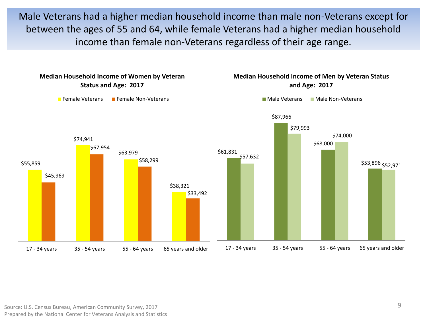Male Veterans had a higher median household income than male non-Veterans except for between the ages of 55 and 64, while female Veterans had a higher median household income than female non-Veterans regardless of their age range.



#### Source: U.S. Census Bureau, American Community Survey, 2017 Prepared by the National Center for Veterans Analysis and Statistics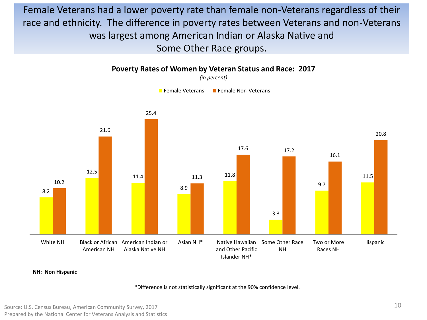Female Veterans had a lower poverty rate than female non-Veterans regardless of their race and ethnicity. The difference in poverty rates between Veterans and non-Veterans was largest among American Indian or Alaska Native and Some Other Race groups.



**Poverty Rates of Women by Veteran Status and Race: 2017**

**NH: Non Hispanic**

\*Difference is not statistically significant at the 90% confidence level.

Source: U.S. Census Bureau, American Community Survey, 2017 Prepared by the National Center for Veterans Analysis and Statistics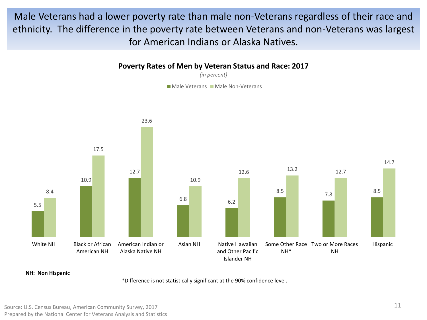Male Veterans had a lower poverty rate than male non-Veterans regardless of their race and ethnicity. The difference in the poverty rate between Veterans and non-Veterans was largest for American Indians or Alaska Natives.

#### **Poverty Rates of Men by Veteran Status and Race: 2017**

*(in percent)*

Male Veterans Male Non-Veterans



**NH: Non Hispanic**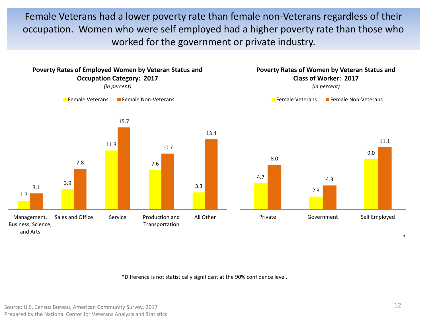Female Veterans had a lower poverty rate than female non-Veterans regardless of their occupation. Women who were self employed had a higher poverty rate than those who worked for the government or private industry.

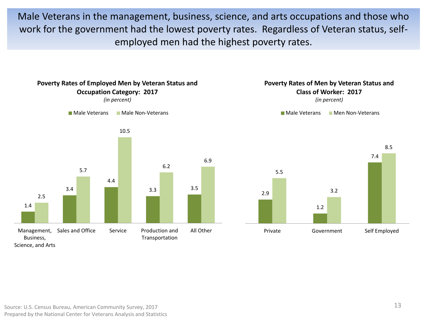Male Veterans in the management, business, science, and arts occupations and those who work for the government had the lowest poverty rates. Regardless of Veteran status, selfemployed men had the highest poverty rates.

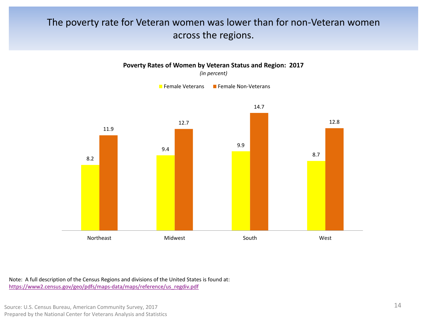#### The poverty rate for Veteran women was lower than for non-Veteran women across the regions.



Note: A full description of the Census Regions and divisions of the United States is found at: [https://www2.census.gov/geo/pdfs/maps-data/maps/reference/us\\_regdiv.pdf](https://www2.census.gov/geo/pdfs/maps-data/maps/reference/us_regdiv.pdf)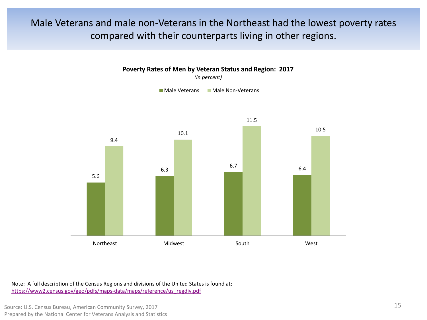### Male Veterans and male non-Veterans in the Northeast had the lowest poverty rates compared with their counterparts living in other regions.



**Poverty Rates of Men by Veteran Status and Region: 2017**

*(in percent)*

Male Veterans Male Non-Veterans

Note: A full description of the Census Regions and divisions of the United States is found at: [https://www2.census.gov/geo/pdfs/maps-data/maps/reference/us\\_regdiv.pdf](https://www2.census.gov/geo/pdfs/maps-data/maps/reference/us_regdiv.pdf)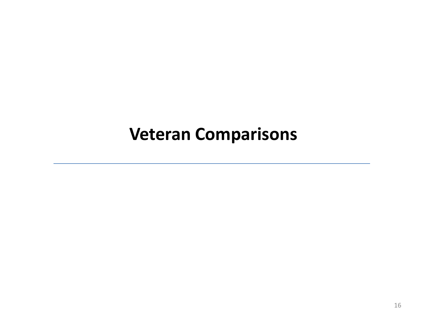### **Veteran Comparisons**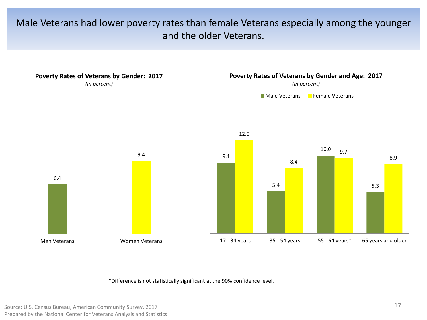### Male Veterans had lower poverty rates than female Veterans especially among the younger and the older Veterans.

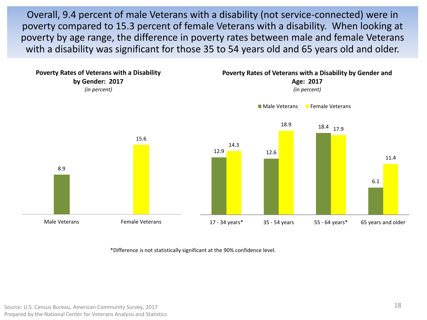Overall, 9.4 percent of male Veterans with a disability (not service-connected) were in poverty compared to 15.3 percent of female Veterans with a disability. When looking at poverty by age range, the difference in poverty rates between male and female Veterans with a disability was significant for those 35 to 54 years old and 65 years old and older.

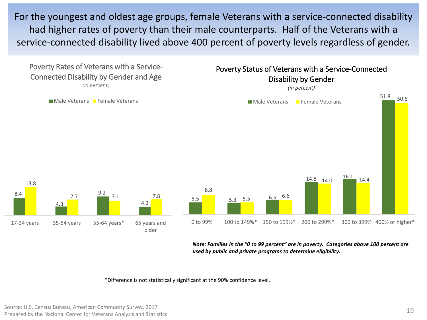For the youngest and oldest age groups, female Veterans with a service-connected disability had higher rates of poverty than their male counterparts. Half of the Veterans with a service-connected disability lived above 400 percent of poverty levels regardless of gender.



*Note: Families in the "0 to 99 percent" are in poverty. Categories above 100 percent are used by public and private programs to determine eligibility.*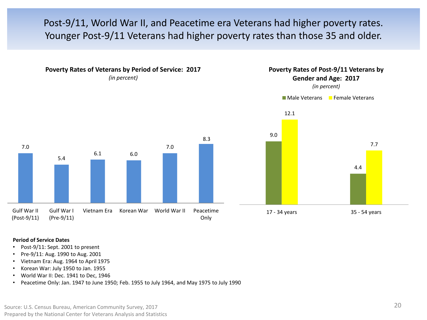### Post-9/11, World War II, and Peacetime era Veterans had higher poverty rates. Younger Post-9/11 Veterans had higher poverty rates than those 35 and older.



**Poverty Rates of Veterans by Period of Service: 2017** *(in percent)*



*(in percent)*





#### **Period of Service Dates**

- Post-9/11: Sept. 2001 to present
- Pre-9/11: Aug. 1990 to Aug. 2001
- Vietnam Era: Aug. 1964 to April 1975
- Korean War: July 1950 to Jan. 1955
- World War II: Dec. 1941 to Dec, 1946
- Peacetime Only: Jan. 1947 to June 1950; Feb. 1955 to July 1964, and May 1975 to July 1990

Source: U.S. Census Bureau, American Community Survey, 2017 Prepared by the National Center for Veterans Analysis and Statistics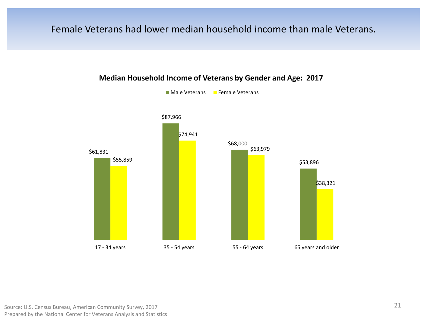#### Female Veterans had lower median household income than male Veterans.



#### **Median Household Income of Veterans by Gender and Age: 2017**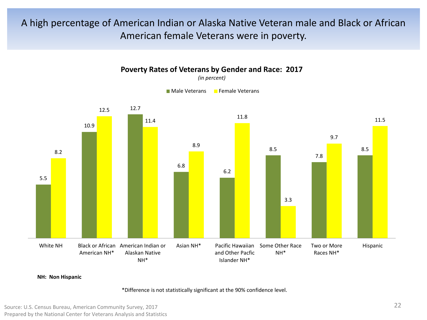### A high percentage of American Indian or Alaska Native Veteran male and Black or African American female Veterans were in poverty.



**Poverty Rates of Veterans by Gender and Race: 2017** *(in percent)*

**NH: Non Hispanic**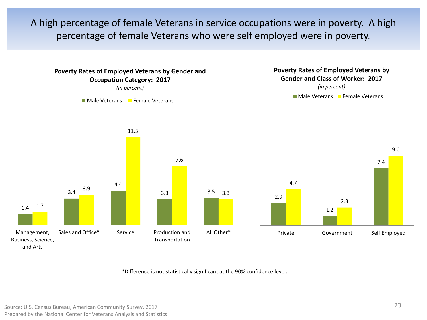A high percentage of female Veterans in service occupations were in poverty. A high percentage of female Veterans who were self employed were in poverty.

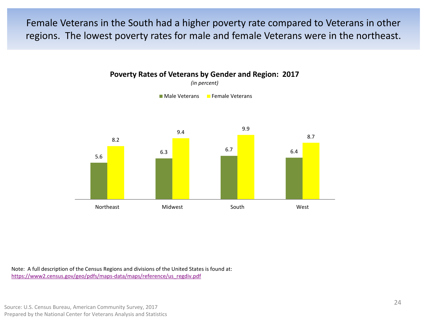Female Veterans in the South had a higher poverty rate compared to Veterans in other regions. The lowest poverty rates for male and female Veterans were in the northeast.



**Poverty Rates of Veterans by Gender and Region: 2017** *(in percent)*

Note: A full description of the Census Regions and divisions of the United States is found at: [https://www2.census.gov/geo/pdfs/maps-data/maps/reference/us\\_regdiv.pdf](https://www2.census.gov/geo/pdfs/maps-data/maps/reference/us_regdiv.pdf)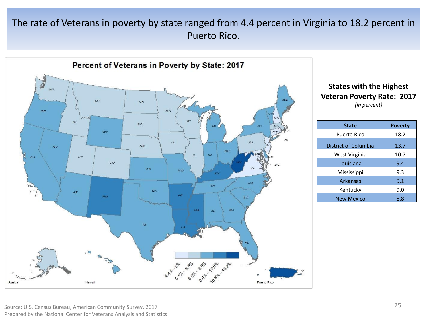### The rate of Veterans in poverty by state ranged from 4.4 percent in Virginia to 18.2 percent in Puerto Rico.



#### **States with the Highest Veteran Poverty Rate: 2017** *(in percent)*

| <b>State</b>         | <b>Poverty</b> |
|----------------------|----------------|
| Puerto Rico          | 18.2           |
| District of Columbia | 13.7           |
| West Virginia        | 10.7           |
| Louisiana            | 9.4            |
| Mississippi          | 9.3            |
| Arkansas             | 9.1            |
| Kentucky             | 9.0            |
| <b>New Mexico</b>    | 8.8            |

Source: U.S. Census Bureau, American Community Survey, 2017 Prepared by the National Center for Veterans Analysis and Statistics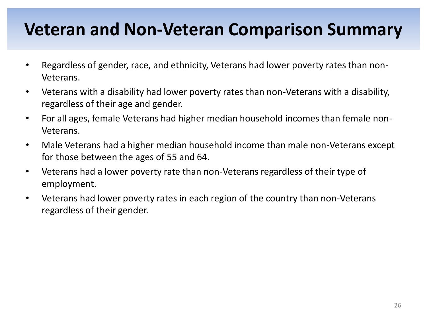## **Veteran and Non-Veteran Comparison Summary**

- Regardless of gender, race, and ethnicity, Veterans had lower poverty rates than non-Veterans.
- Veterans with a disability had lower poverty rates than non-Veterans with a disability, regardless of their age and gender.
- For all ages, female Veterans had higher median household incomes than female non-Veterans.
- Male Veterans had a higher median household income than male non-Veterans except for those between the ages of 55 and 64.
- Veterans had a lower poverty rate than non-Veterans regardless of their type of employment.
- Veterans had lower poverty rates in each region of the country than non-Veterans regardless of their gender.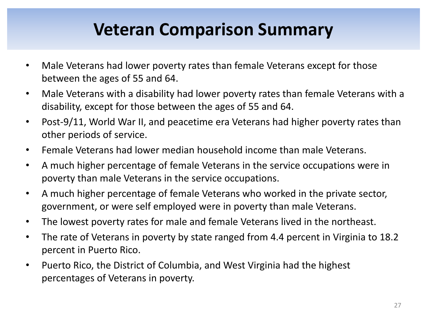## **Veteran Comparison Summary**

- Male Veterans had lower poverty rates than female Veterans except for those between the ages of 55 and 64.
- Male Veterans with a disability had lower poverty rates than female Veterans with a disability, except for those between the ages of 55 and 64.
- Post-9/11, World War II, and peacetime era Veterans had higher poverty rates than other periods of service.
- Female Veterans had lower median household income than male Veterans.
- A much higher percentage of female Veterans in the service occupations were in poverty than male Veterans in the service occupations.
- A much higher percentage of female Veterans who worked in the private sector, government, or were self employed were in poverty than male Veterans.
- The lowest poverty rates for male and female Veterans lived in the northeast.
- The rate of Veterans in poverty by state ranged from 4.4 percent in Virginia to 18.2 percent in Puerto Rico.
- Puerto Rico, the District of Columbia, and West Virginia had the highest percentages of Veterans in poverty.